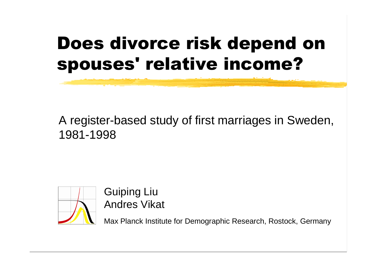## Does divorce risk depend on spouses' relative income?

#### A register-based study of first marriages in Sweden, 1981-1998



Guiping Liu Andres Vikat

Max Planck Institute for Demographic Research, Rostock, Germany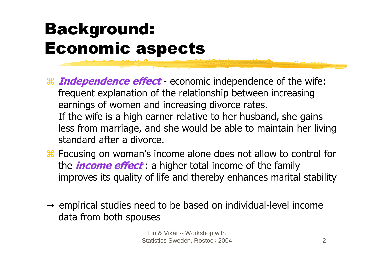## Background: Economic aspects

- **Hetal Independence effect** economic independence of the wife: frequent explanation of the relationship between increasing earnings of women and increasing divorce rates. If the wife is a high earner relative to her husband, she gains less from marriage, and she would be able to maintain her living standard after a divorce.
- Focusing on woman's income alone does not allow to control for the *income effect*: a higher total income of the family improves its quality of life and thereby enhances marital stability
- $\rightarrow$  empirical studies need to be based on individual-level income data from both spouses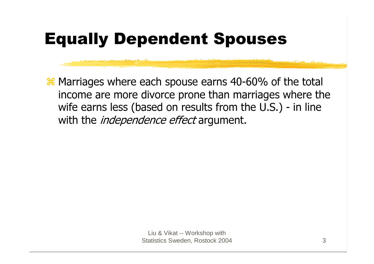## Equally Dependent Spouses

**X** Marriages where each spouse earns 40-60% of the total income are more divorce prone than marriages where the wife earns less (based on results from the U.S.) - in line with the *independence effect* argument.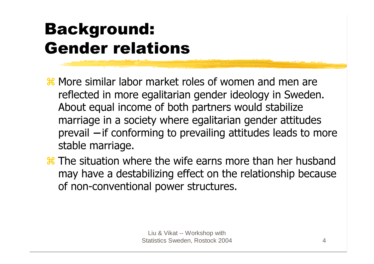## Background: Gender relations

- More similar labor market roles of women and men are reflected in more egalitarian gender ideology in Sweden. About equal income of both partners would stabilize marriage in a society where egalitarian gender attitudes prevail – if conforming to prevailing attitudes leads to more stable marriage.
- The situation where the wife earns more than her husband may have a destabilizing effect on the relationship because of non-conventional power structures.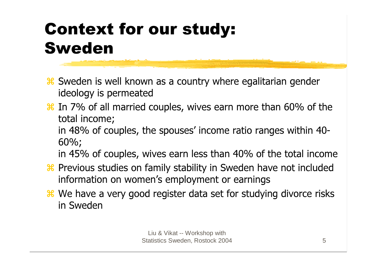## Context for our study: Sweden

- **& Sweden is well known as a country where egalitarian gender** ideology is permeated
- **Heta** In 7% of all married couples, wives earn more than 60% of the total income;

in 48% of couples, the spouses' income ratio ranges within 40- 60%;

in 45% of couples, wives earn less than 40% of the total income

- **& Previous studies on family stability in Sweden have not included** information on women's employment or earnings
- **&** We have a very good register data set for studying divorce risks in Sweden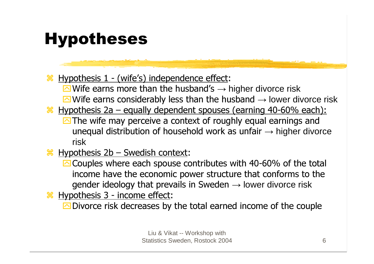#### Hypotheses

<u>  $\frac{11}{100}$  Hypothesis 1 - (wife's) independence effect</u>:  $\overline{\curvearrowright}$  Wife earns more than the husband's  $\rightarrow$  higher divorce risk  $\overline{\curvearrowright}$  Wife earns considerably less than the husband  $\rightarrow$  lower divorce risk

- Hypothesis 2a equally dependent spouses (earning 40-60% each): **M** The wife may perceive a context of roughly equal earnings and unequal distribution of household work as unfair  $\rightarrow$  higher divorce risk
- $\frac{1}{26}$  Hypothesis 2b Swedish context:

**O** Couples where each spouse contributes with 40-60% of the total income have the economic power structure that conforms to the gender ideology that prevails in Sweden  $\rightarrow$  lower divorce risk

 $\frac{1}{100}$  Hypothesis 3 - income effect:

**ORED** Divorce risk decreases by the total earned income of the couple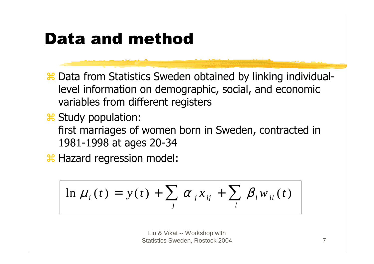#### Data and method

- Data from Statistics Sweden obtained by linking individuallevel information on demographic, social, and economic variables from different registers
- Study population: first marriages of women born in Sweden, contracted in 1981-1998 at ages 20-34

**Hazard regression model:** 

$$
\ln \mu_i(t) = y(t) + \sum_j \alpha_j x_{ij} + \sum_l \beta_l w_{il}(t)
$$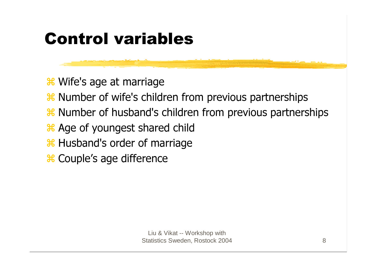### Control variables

**\*** Wife's age at marriage

- **& Number of wife's children from previous partnerships**
- **& Number of husband's children from previous partnerships**
- **Age of youngest shared child**
- **Husband's order of marriage**
- **\*** Couple's age difference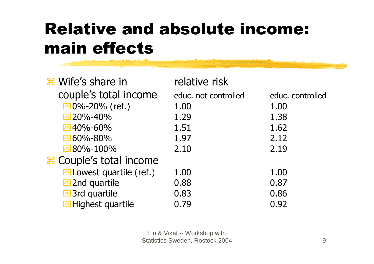## Relative and absolute income: main effects

<u>a de seu control de la companya de la compa</u>

| <b>**</b> Wife's share in           | relative risk        |                  |
|-------------------------------------|----------------------|------------------|
| couple's total income               | educ. not controlled | educ. controlled |
| $\square$ 0%-20% (ref.)             | 1.00                 | 1.00             |
| $20\% - 40\%$                       | 1.29                 | 1.38             |
| $\Box$ 40%-60%                      | 1.51                 | 1.62             |
| $\Box$ 60%-80%                      | 1.97                 | 2.12             |
| $80\% - 100\%$                      | 2.10                 | 2.19             |
| <b>* Couple's total income</b>      |                      |                  |
| $\Box$ Lowest quartile (ref.)       | 1.00                 | 1.00             |
| $\Box$ 2nd quartile                 | 0.88                 | 0.87             |
| $\overline{\triangle}$ 3rd quartile | 0.83                 | 0.86             |
| $\Box$ Highest quartile             | 0.79                 | 0.92             |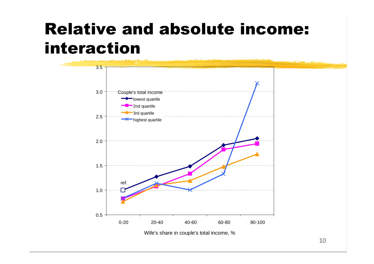#### Relative and absolute income: interaction

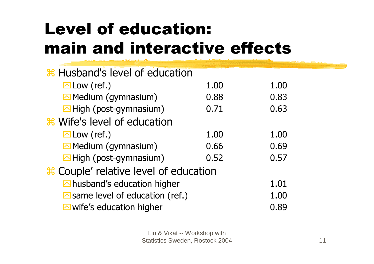# Level of education: main and interactive effects

| <del>%</del> Husband's level of education       |      |      |
|-------------------------------------------------|------|------|
| $\Box$ Low (ref.)                               | 1.00 | 1.00 |
| $\Box$ Medium (gymnasium)                       | 0.88 | 0.83 |
| $\Box$ High (post-gymnasium)                    | 0.71 | 0.63 |
| <b>&amp; Wife's level of education</b>          |      |      |
| $\Box$ Low (ref.)                               | 1.00 | 1.00 |
| $\triangle$ Medium (gymnasium)                  | 0.66 | 0.69 |
| $\Box$ High (post-gymnasium)                    | 0.52 | 0.57 |
| # Couple' relative level of education           |      |      |
| $\Box$ husband's education higher               |      | 1.01 |
| $\triangleright$ same level of education (ref.) |      | 1.00 |
| $\Box$ wife's education higher                  |      | 0.89 |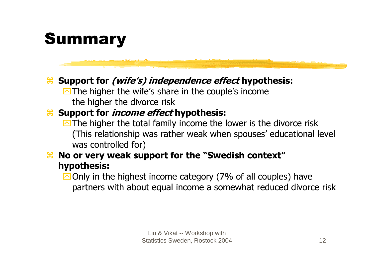#### Summary

#### **& Support for** *(wife's) independence effect* **hypothesis:**

**M** The higher the wife's share in the couple's income the higher the divorce risk

#### **& Support for** *income effect* **hypothesis:**

- **M** The higher the total family income the lower is the divorce risk (This relationship was rather weak when spouses' educational level was controlled for)
- **Henoral Notarty Weak support for the "Swedish context"** hypothesis:

**Only in the highest income category (7% of all couples) have** partners with about equal income a somewhat reduced divorce risk